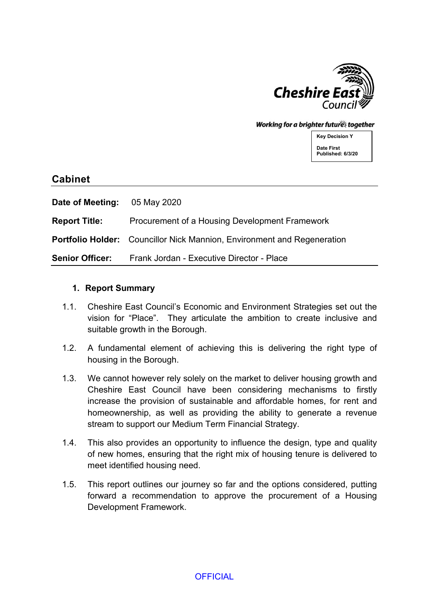

Working for a brighter future together

**Key Decision Y Date First Published: 6/3/20**

# **Cabinet**

| <b>Date of Meeting:</b> 05 May 2020 |                                                                                |
|-------------------------------------|--------------------------------------------------------------------------------|
| <b>Report Title:</b>                | Procurement of a Housing Development Framework                                 |
|                                     | <b>Portfolio Holder:</b> Councillor Nick Mannion, Environment and Regeneration |
| <b>Senior Officer:</b>              | Frank Jordan - Executive Director - Place                                      |

#### **1. Report Summary**

- 1.1. Cheshire East Council's Economic and Environment Strategies set out the vision for "Place". They articulate the ambition to create inclusive and suitable growth in the Borough.
- 1.2. A fundamental element of achieving this is delivering the right type of housing in the Borough.
- 1.3. We cannot however rely solely on the market to deliver housing growth and Cheshire East Council have been considering mechanisms to firstly increase the provision of sustainable and affordable homes, for rent and homeownership, as well as providing the ability to generate a revenue stream to support our Medium Term Financial Strategy.
- 1.4. This also provides an opportunity to influence the design, type and quality of new homes, ensuring that the right mix of housing tenure is delivered to meet identified housing need.
- 1.5. This report outlines our journey so far and the options considered, putting forward a recommendation to approve the procurement of a Housing Development Framework.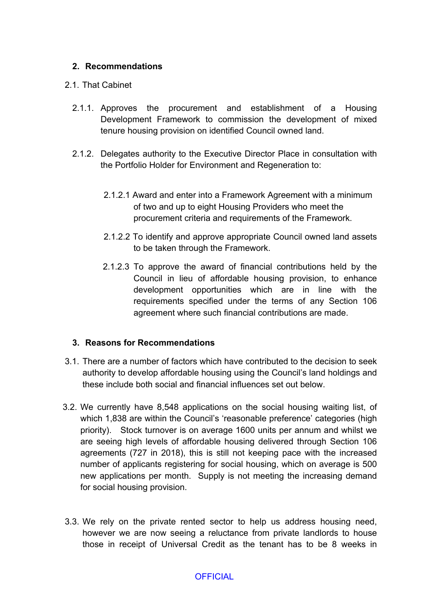# **2. Recommendations**

#### 2.1. That Cabinet

- 2.1.1. Approves the procurement and establishment of a Housing Development Framework to commission the development of mixed tenure housing provision on identified Council owned land.
- 2.1.2. Delegates authority to the Executive Director Place in consultation with the Portfolio Holder for Environment and Regeneration to:
	- 2.1.2.1 Award and enter into a Framework Agreement with a minimum of two and up to eight Housing Providers who meet the procurement criteria and requirements of the Framework.
	- 2.1.2.2 To identify and approve appropriate Council owned land assets to be taken through the Framework.
	- 2.1.2.3 To approve the award of financial contributions held by the Council in lieu of affordable housing provision, to enhance development opportunities which are in line with the requirements specified under the terms of any Section 106 agreement where such financial contributions are made.

#### **3. Reasons for Recommendations**

- 3.1. There are a number of factors which have contributed to the decision to seek authority to develop affordable housing using the Council's land holdings and these include both social and financial influences set out below.
- 3.2. We currently have 8,548 applications on the social housing waiting list, of which 1,838 are within the Council's 'reasonable preference' categories (high priority). Stock turnover is on average 1600 units per annum and whilst we are seeing high levels of affordable housing delivered through Section 106 agreements (727 in 2018), this is still not keeping pace with the increased number of applicants registering for social housing, which on average is 500 new applications per month. Supply is not meeting the increasing demand for social housing provision.
- 3.3. We rely on the private rented sector to help us address housing need, however we are now seeing a reluctance from private landlords to house those in receipt of Universal Credit as the tenant has to be 8 weeks in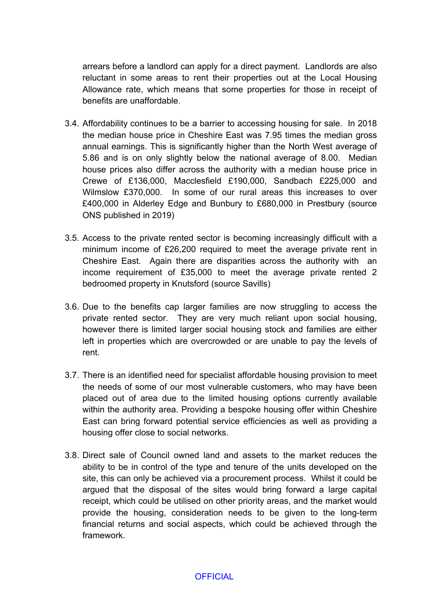arrears before a landlord can apply for a direct payment. Landlords are also reluctant in some areas to rent their properties out at the Local Housing Allowance rate, which means that some properties for those in receipt of benefits are unaffordable.

- 3.4. Affordability continues to be a barrier to accessing housing for sale. In 2018 the median house price in Cheshire East was 7.95 times the median gross annual earnings. This is significantly higher than the North West average of 5.86 and is on only slightly below the national average of 8.00. Median house prices also differ across the authority with a median house price in Crewe of £136,000, Macclesfield £190,000, Sandbach £225,000 and Wilmslow £370,000. In some of our rural areas this increases to over £400,000 in Alderley Edge and Bunbury to £680,000 in Prestbury (source ONS published in 2019)
- 3.5. Access to the private rented sector is becoming increasingly difficult with a minimum income of £26,200 required to meet the average private rent in Cheshire East. Again there are disparities across the authority with an income requirement of £35,000 to meet the average private rented 2 bedroomed property in Knutsford (source Savills)
- 3.6. Due to the benefits cap larger families are now struggling to access the private rented sector. They are very much reliant upon social housing, however there is limited larger social housing stock and families are either left in properties which are overcrowded or are unable to pay the levels of rent.
- 3.7. There is an identified need for specialist affordable housing provision to meet the needs of some of our most vulnerable customers, who may have been placed out of area due to the limited housing options currently available within the authority area. Providing a bespoke housing offer within Cheshire East can bring forward potential service efficiencies as well as providing a housing offer close to social networks.
- 3.8. Direct sale of Council owned land and assets to the market reduces the ability to be in control of the type and tenure of the units developed on the site, this can only be achieved via a procurement process. Whilst it could be argued that the disposal of the sites would bring forward a large capital receipt, which could be utilised on other priority areas, and the market would provide the housing, consideration needs to be given to the long-term financial returns and social aspects, which could be achieved through the framework.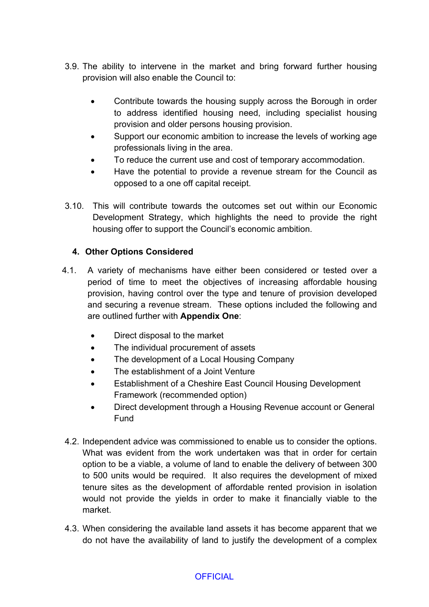- 3.9. The ability to intervene in the market and bring forward further housing provision will also enable the Council to:
	- Contribute towards the housing supply across the Borough in order to address identified housing need, including specialist housing provision and older persons housing provision.
	- Support our economic ambition to increase the levels of working age professionals living in the area.
	- To reduce the current use and cost of temporary accommodation.
	- Have the potential to provide a revenue stream for the Council as opposed to a one off capital receipt.
- 3.10. This will contribute towards the outcomes set out within our Economic Development Strategy, which highlights the need to provide the right housing offer to support the Council's economic ambition.

# **4. Other Options Considered**

- 4.1. A variety of mechanisms have either been considered or tested over a period of time to meet the objectives of increasing affordable housing provision, having control over the type and tenure of provision developed and securing a revenue stream. These options included the following and are outlined further with **Appendix One**:
	- Direct disposal to the market
	- The individual procurement of assets
	- The development of a Local Housing Company
	- The establishment of a Joint Venture
	- Establishment of a Cheshire East Council Housing Development Framework (recommended option)
	- Direct development through a Housing Revenue account or General Fund
- 4.2. Independent advice was commissioned to enable us to consider the options. What was evident from the work undertaken was that in order for certain option to be a viable, a volume of land to enable the delivery of between 300 to 500 units would be required. It also requires the development of mixed tenure sites as the development of affordable rented provision in isolation would not provide the yields in order to make it financially viable to the market.
- 4.3. When considering the available land assets it has become apparent that we do not have the availability of land to justify the development of a complex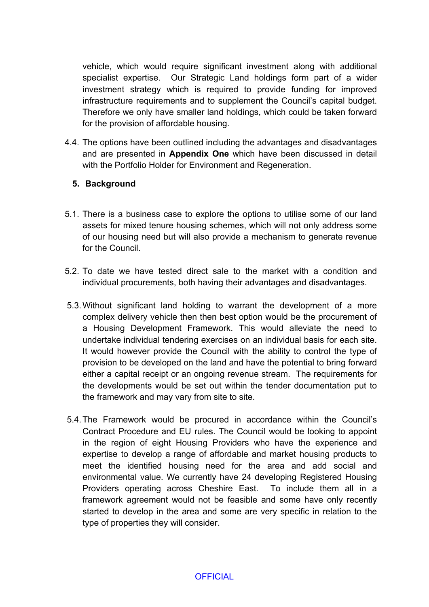vehicle, which would require significant investment along with additional specialist expertise. Our Strategic Land holdings form part of a wider investment strategy which is required to provide funding for improved infrastructure requirements and to supplement the Council's capital budget. Therefore we only have smaller land holdings, which could be taken forward for the provision of affordable housing.

4.4. The options have been outlined including the advantages and disadvantages and are presented in **Appendix One** which have been discussed in detail with the Portfolio Holder for Environment and Regeneration.

# **5. Background**

- 5.1. There is a business case to explore the options to utilise some of our land assets for mixed tenure housing schemes, which will not only address some of our housing need but will also provide a mechanism to generate revenue for the Council.
- 5.2. To date we have tested direct sale to the market with a condition and individual procurements, both having their advantages and disadvantages.
- 5.3.Without significant land holding to warrant the development of a more complex delivery vehicle then then best option would be the procurement of a Housing Development Framework. This would alleviate the need to undertake individual tendering exercises on an individual basis for each site. It would however provide the Council with the ability to control the type of provision to be developed on the land and have the potential to bring forward either a capital receipt or an ongoing revenue stream. The requirements for the developments would be set out within the tender documentation put to the framework and may vary from site to site.
- 5.4.The Framework would be procured in accordance within the Council's Contract Procedure and EU rules. The Council would be looking to appoint in the region of eight Housing Providers who have the experience and expertise to develop a range of affordable and market housing products to meet the identified housing need for the area and add social and environmental value. We currently have 24 developing Registered Housing Providers operating across Cheshire East. To include them all in a framework agreement would not be feasible and some have only recently started to develop in the area and some are very specific in relation to the type of properties they will consider.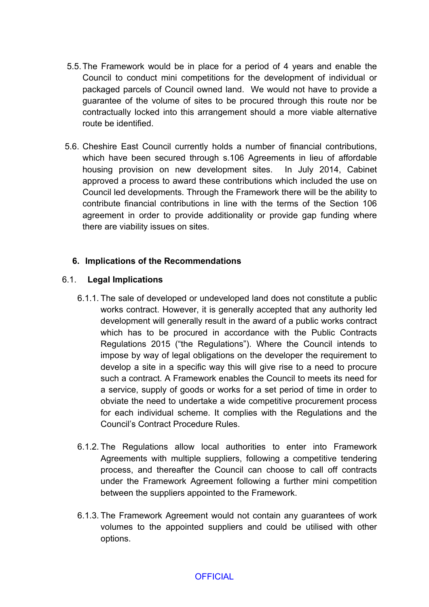- 5.5.The Framework would be in place for a period of 4 years and enable the Council to conduct mini competitions for the development of individual or packaged parcels of Council owned land. We would not have to provide a guarantee of the volume of sites to be procured through this route nor be contractually locked into this arrangement should a more viable alternative route be identified.
- 5.6. Cheshire East Council currently holds a number of financial contributions, which have been secured through s.106 Agreements in lieu of affordable housing provision on new development sites. In July 2014, Cabinet approved a process to award these contributions which included the use on Council led developments. Through the Framework there will be the ability to contribute financial contributions in line with the terms of the Section 106 agreement in order to provide additionality or provide gap funding where there are viability issues on sites.

### **6. Implications of the Recommendations**

### 6.1. **Legal Implications**

- 6.1.1. The sale of developed or undeveloped land does not constitute a public works contract. However, it is generally accepted that any authority led development will generally result in the award of a public works contract which has to be procured in accordance with the Public Contracts Regulations 2015 ("the Regulations"). Where the Council intends to impose by way of legal obligations on the developer the requirement to develop a site in a specific way this will give rise to a need to procure such a contract. A Framework enables the Council to meets its need for a service, supply of goods or works for a set period of time in order to obviate the need to undertake a wide competitive procurement process for each individual scheme. It complies with the Regulations and the Council's Contract Procedure Rules.
- 6.1.2. The Regulations allow local authorities to enter into Framework Agreements with multiple suppliers, following a competitive tendering process, and thereafter the Council can choose to call off contracts under the Framework Agreement following a further mini competition between the suppliers appointed to the Framework.
- 6.1.3. The Framework Agreement would not contain any guarantees of work volumes to the appointed suppliers and could be utilised with other options.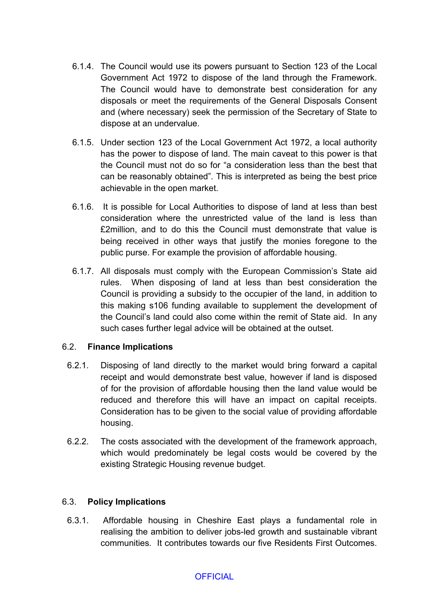- 6.1.4. The Council would use its powers pursuant to Section 123 of the Local Government Act 1972 to dispose of the land through the Framework. The Council would have to demonstrate best consideration for any disposals or meet the requirements of the General Disposals Consent and (where necessary) seek the permission of the Secretary of State to dispose at an undervalue.
- 6.1.5. Under section 123 of the Local Government Act 1972, a local authority has the power to dispose of land. The main caveat to this power is that the Council must not do so for "a consideration less than the best that can be reasonably obtained". This is interpreted as being the best price achievable in the open market.
- 6.1.6. It is possible for Local Authorities to dispose of land at less than best consideration where the unrestricted value of the land is less than £2million, and to do this the Council must demonstrate that value is being received in other ways that justify the monies foregone to the public purse. For example the provision of affordable housing.
- 6.1.7. All disposals must comply with the European Commission's State aid rules. When disposing of land at less than best consideration the Council is providing a subsidy to the occupier of the land, in addition to this making s106 funding available to supplement the development of the Council's land could also come within the remit of State aid. In any such cases further legal advice will be obtained at the outset.

# 6.2. **Finance Implications**

- 6.2.1. Disposing of land directly to the market would bring forward a capital receipt and would demonstrate best value, however if land is disposed of for the provision of affordable housing then the land value would be reduced and therefore this will have an impact on capital receipts. Consideration has to be given to the social value of providing affordable housing.
- 6.2.2. The costs associated with the development of the framework approach, which would predominately be legal costs would be covered by the existing Strategic Housing revenue budget.

# 6.3. **Policy Implications**

6.3.1. Affordable housing in Cheshire East plays a fundamental role in realising the ambition to deliver jobs-led growth and sustainable vibrant communities. It contributes towards our five Residents First Outcomes.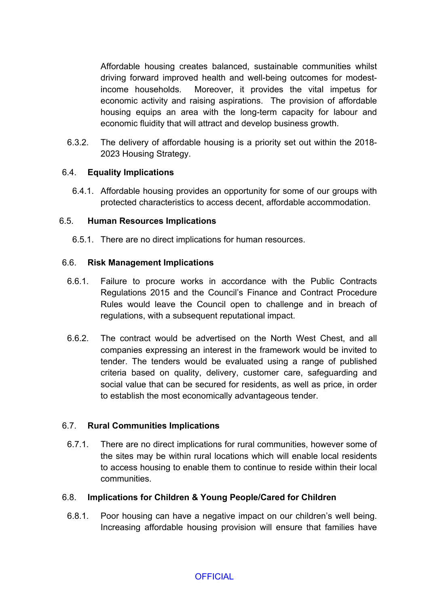Affordable housing creates balanced, sustainable communities whilst driving forward improved health and well-being outcomes for modestincome households. Moreover, it provides the vital impetus for economic activity and raising aspirations. The provision of affordable housing equips an area with the long-term capacity for labour and economic fluidity that will attract and develop business growth.

6.3.2. The delivery of affordable housing is a priority set out within the 2018- 2023 Housing Strategy.

# 6.4. **Equality Implications**

6.4.1. Affordable housing provides an opportunity for some of our groups with protected characteristics to access decent, affordable accommodation.

### 6.5. **Human Resources Implications**

6.5.1. There are no direct implications for human resources.

### 6.6. **Risk Management Implications**

- 6.6.1. Failure to procure works in accordance with the Public Contracts Regulations 2015 and the Council's Finance and Contract Procedure Rules would leave the Council open to challenge and in breach of regulations, with a subsequent reputational impact.
- 6.6.2. The contract would be advertised on the North West Chest, and all companies expressing an interest in the framework would be invited to tender. The tenders would be evaluated using a range of published criteria based on quality, delivery, customer care, safeguarding and social value that can be secured for residents, as well as price, in order to establish the most economically advantageous tender.

#### 6.7. **Rural Communities Implications**

6.7.1. There are no direct implications for rural communities, however some of the sites may be within rural locations which will enable local residents to access housing to enable them to continue to reside within their local communities.

#### 6.8. **Implications for Children & Young People/Cared for Children**

6.8.1. Poor housing can have a negative impact on our children's well being. Increasing affordable housing provision will ensure that families have